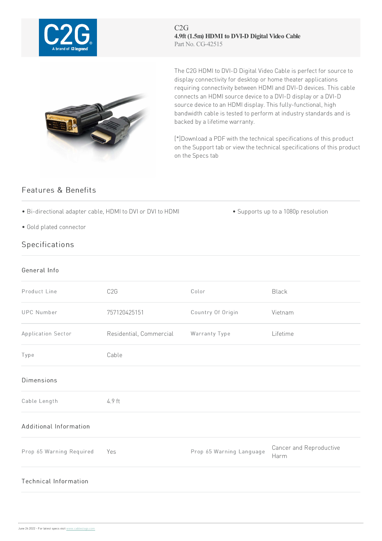

C2G **4.9ft (1.5m) HDMI to DVI-D Digital Video Cable** Part No. CG-42515



The C2G HDMI to DVI-D Digital Video Cable is perfect for source to display connectivity for desktop or home theater applications requiring connectivity between HDMI and DVI-D devices. This cable connects an HDMI source device to a DVI-D display or a DVI-D source device to an HDMI display. This fully-functional, high bandwidth cable is tested to perform at industry standards and is backed by a lifetime warranty.

[\*]Download a PDF with the technical specifications of this product on the Support tab or view the technical specifications of this product on the Specs tab

## Features & Benefits

- Bi-directional adapter cable, HDMI to DVI or DVI to HDMI Supports up to a 1080p resolution
- Gold plated connector

## Specifications

## General Info

| Product Line             | C <sub>2</sub> G        | Color                    | <b>Black</b>                    |
|--------------------------|-------------------------|--------------------------|---------------------------------|
| <b>UPC Number</b>        | 757120425151            | Country Of Origin        | Vietnam                         |
| Application Sector       | Residential, Commercial | Warranty Type            | Lifetime                        |
| Type                     | Cable                   |                          |                                 |
| <b>Dimensions</b>        |                         |                          |                                 |
| Cable Length             | 4.9 ft                  |                          |                                 |
| Additional Information   |                         |                          |                                 |
| Prop 65 Warning Required | Yes                     | Prop 65 Warning Language | Cancer and Reproductive<br>Harm |
| Technical Information    |                         |                          |                                 |
|                          |                         |                          |                                 |